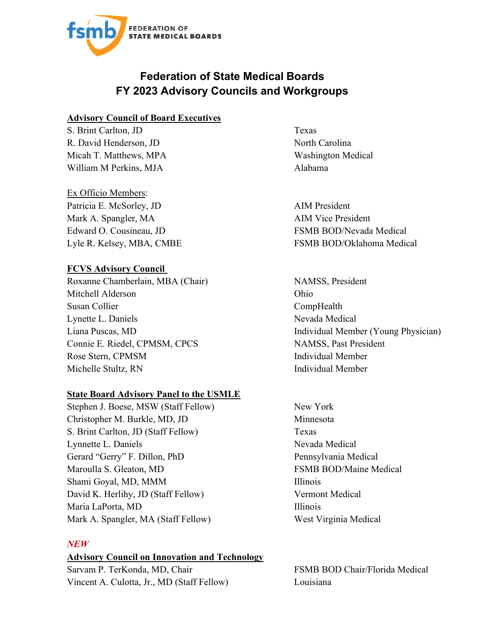

# **Federation of State Medical Boards FY 2023 Advisory Councils and Workgroups**

#### **Advisory Council of Board Executives**

S. Brint Carlton, JD Texas R. David Henderson, JD North Carolina Micah T. Matthews, MPA Washington Medical William M Perkins, MJA Alabama

Ex Officio Members: Patricia E. McSorley, JD AIM President Mark A. Spangler, MA AIM Vice President Edward O. Cousineau, JD FSMB BOD/Nevada Medical

# **FCVS Advisory Council**

Roxanne Chamberlain, MBA (Chair) NAMSS, President Mitchell Alderson Ohio Susan Collier CompHealth Lynette L. Daniels Nevada Medical Connie E. Riedel, CPMSM, CPCS NAMSS, Past President Rose Stern, CPMSM Individual Member Michelle Stultz, RN Individual Member

## **State Board Advisory Panel to the USMLE**

Stephen J. Boese, MSW (Staff Fellow) New York Christopher M. Burkle, MD, JD Minnesota S. Brint Carlton, JD (Staff Fellow) Texas Lynnette L. Daniels Nevada Medical Gerard "Gerry" F. Dillon, PhD Pennsylvania Medical Maroulla S. Gleaton, MD FSMB BOD/Maine Medical Shami Goyal, MD, MMM Illinois David K. Herlihy, JD (Staff Fellow) Vermont Medical Maria LaPorta, MD Illinois Mark A. Spangler, MA (Staff Fellow) West Virginia Medical

## *NEW*

## **Advisory Council on Innovation and Technology**

Sarvam P. TerKonda, MD, Chair FSMB BOD Chair/Florida Medical Vincent A. Culotta, Jr., MD (Staff Fellow) Louisiana

Lyle R. Kelsey, MBA, CMBE FSMB BOD/Oklahoma Medical

Liana Puscas, MD **Individual Member (Young Physician)**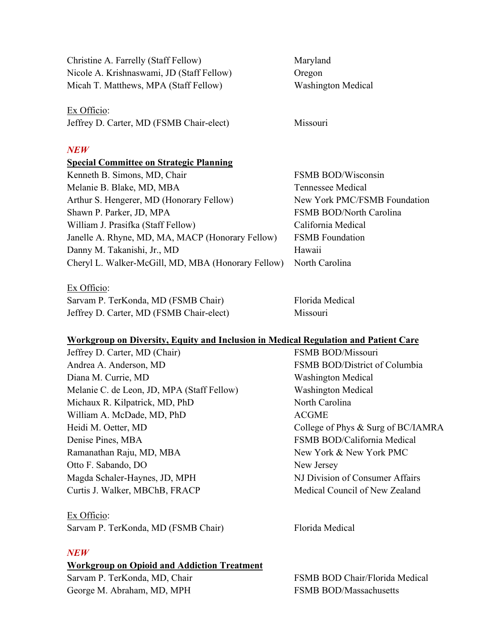Christine A. Farrelly (Staff Fellow) Maryland Nicole A. Krishnaswami, JD (Staff Fellow) Oregon Micah T. Matthews, MPA (Staff Fellow) Washington Medical

Ex Officio: Jeffrey D. Carter, MD (FSMB Chair-elect) Missouri

#### *NEW*

#### **Special Committee on Strategic Planning**

| Kenneth B. Simons, MD, Chair                       | <b>FSMB</b> |
|----------------------------------------------------|-------------|
| Melanie B. Blake, MD, MBA                          | Tennes      |
| Arthur S. Hengerer, MD (Honorary Fellow)           | New Y       |
| Shawn P. Parker, JD, MPA                           | <b>FSMB</b> |
| William J. Prasifka (Staff Fellow)                 | Califor     |
| Janelle A. Rhyne, MD, MA, MACP (Honorary Fellow)   | <b>FSMB</b> |
| Danny M. Takanishi, Jr., MD                        | Hawaii      |
| Cheryl L. Walker-McGill, MD, MBA (Honorary Fellow) | North (     |
|                                                    |             |

Ex Officio:

Sarvam P. TerKonda, MD (FSMB Chair) Florida Medical Jeffrey D. Carter, MD (FSMB Chair-elect) Missouri

**FSMB BOD/Wisconsin** Tennessee Medical New York PMC/FSMB Foundation FSMB BOD/North Carolina California Medical **FSMB Foundation** North Carolina

# **Workgroup on Diversity, Equity and Inclusion in Medical Regulation and Patient Care**

Jeffrey D. Carter, MD (Chair) FSMB BOD/Missouri Andrea A. Anderson, MD FSMB BOD/District of Columbia Diana M. Currie, MD Washington Medical Melanie C. de Leon, JD, MPA (Staff Fellow) Washington Medical Michaux R. Kilpatrick, MD, PhD North Carolina William A. McDade, MD, PhD ACGME Heidi M. Oetter, MD College of Phys & Surg of BC/IAMRA Denise Pines, MBA FSMB BOD/California Medical Ramanathan Raju, MD, MBA New York & New York PMC Otto F. Sabando, DO New Jersey Magda Schaler-Haynes, JD, MPH NJ Division of Consumer Affairs Curtis J. Walker, MBChB, FRACP Medical Council of New Zealand

# Ex Officio:

Sarvam P. TerKonda, MD (FSMB Chair) Florida Medical

## *NEW*

#### **Workgroup on Opioid and Addiction Treatment**

George M. Abraham, MD, MPH FSMB BOD/Massachusetts

Sarvam P. TerKonda, MD, Chair Family FSMB BOD Chair/Florida Medical